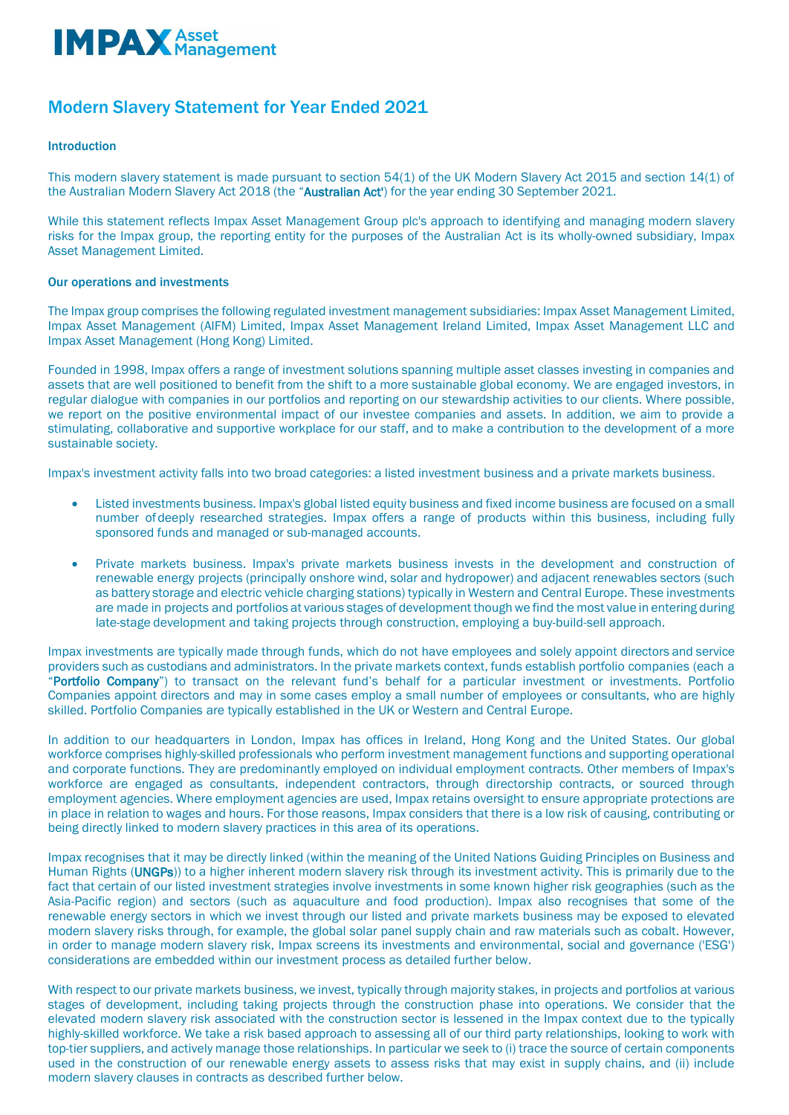

# Modern Slavery Statement for Year Ended 2021

# Introduction

This modern slavery statement is made pursuant to section 54(1) of the UK Modern Slavery Act 2015 and section 14(1) of the Australian Modern Slavery Act 2018 (the "Australian Act") for the year ending 30 September 2021.

While this statement reflects Impax Asset Management Group plc's approach to identifying and managing modern slavery risks for the Impax group, the reporting entity for the purposes of the Australian Act is its wholly-owned subsidiary, Impax Asset Management Limited.

# Our operations and investments

The Impax group comprises the following regulated investment management subsidiaries: Impax Asset Management Limited, Impax Asset Management (AIFM) Limited, Impax Asset Management Ireland Limited, Impax Asset Management LLC and Impax Asset Management (Hong Kong) Limited.

Founded in 1998, Impax offers a range of investment solutions spanning multiple asset classes investing in companies and assets that are well positioned to benefit from the shift to a more sustainable global economy. We are engaged investors, in regular dialogue with companies in our portfolios and reporting on our stewardship activities to our clients. Where possible, we report on the positive environmental impact of our investee companies and assets. In addition, we aim to provide a stimulating, collaborative and supportive workplace for our staff, and to make a contribution to the development of a more sustainable society.

Impax's investment activity falls into two broad categories: a listed investment business and a private markets business.

- Listed investments business. Impax's global listed equity business and fixed income business are focused on a small number ofdeeply researched strategies. Impax offers a range of products within this business, including fully sponsored funds and managed or sub-managed accounts.
- Private markets business. Impax's private markets business invests in the development and construction of renewable energy projects (principally onshore wind, solar and hydropower) and adjacent renewables sectors (such as battery storage and electric vehicle charging stations) typically in Western and Central Europe. These investments are made in projects and portfolios at various stages of development though we find the most value in entering during late-stage development and taking projects through construction, employing a buy-build-sell approach.

Impax investments are typically made through funds, which do not have employees and solely appoint directors and service providers such as custodians and administrators. In the private markets context, funds establish portfolio companies (each a "Portfolio Company") to transact on the relevant fund's behalf for a particular investment or investments. Portfolio Companies appoint directors and may in some cases employ a small number of employees or consultants, who are highly skilled. Portfolio Companies are typically established in the UK or Western and Central Europe.

In addition to our headquarters in London, Impax has offices in Ireland, Hong Kong and the United States. Our global workforce comprises highly-skilled professionals who perform investment management functions and supporting operational and corporate functions. They are predominantly employed on individual employment contracts. Other members of Impax's workforce are engaged as consultants, independent contractors, through directorship contracts, or sourced through employment agencies. Where employment agencies are used, Impax retains oversight to ensure appropriate protections are in place in relation to wages and hours. For those reasons, Impax considers that there is a low risk of causing, contributing or being directly linked to modern slavery practices in this area of its operations.

Impax recognises that it may be directly linked (within the meaning of the United Nations Guiding Principles on Business and Human Rights (UNGPs)) to a higher inherent modern slavery risk through its investment activity. This is primarily due to the fact that certain of our listed investment strategies involve investments in some known higher risk geographies (such as the Asia-Pacific region) and sectors (such as aquaculture and food production). Impax also recognises that some of the renewable energy sectors in which we invest through our listed and private markets business may be exposed to elevated modern slavery risks through, for example, the global solar panel supply chain and raw materials such as cobalt. However, in order to manage modern slavery risk, Impax screens its investments and environmental, social and governance ('ESG') considerations are embedded within our investment process as detailed further below.

With respect to our private markets business, we invest, typically through majority stakes, in projects and portfolios at various stages of development, including taking projects through the construction phase into operations. We consider that the elevated modern slavery risk associated with the construction sector is lessened in the Impax context due to the typically highly-skilled workforce. We take a risk based approach to assessing all of our third party relationships, looking to work with top-tier suppliers, and actively manage those relationships. In particular we seek to (i) trace the source of certain components used in the construction of our renewable energy assets to assess risks that may exist in supply chains, and (ii) include modern slavery clauses in contracts as described further below.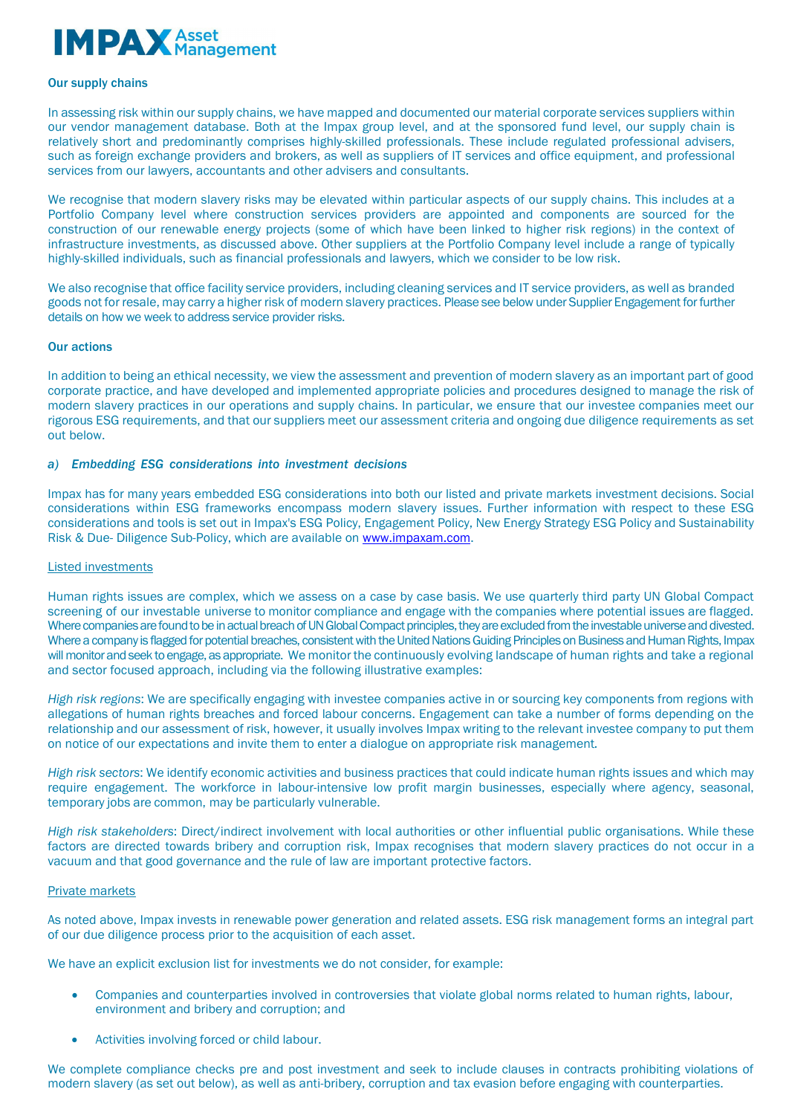# **IMPAX** Asset

#### Our supply chains

In assessing risk within our supply chains, we have mapped and documented our material corporate services suppliers within our vendor management database. Both at the Impax group level, and at the sponsored fund level, our supply chain is relatively short and predominantly comprises highly-skilled professionals. These include regulated professional advisers, such as foreign exchange providers and brokers, as well as suppliers of IT services and office equipment, and professional services from our lawyers, accountants and other advisers and consultants.

We recognise that modern slavery risks may be elevated within particular aspects of our supply chains. This includes at a Portfolio Company level where construction services providers are appointed and components are sourced for the construction of our renewable energy projects (some of which have been linked to higher risk regions) in the context of infrastructure investments, as discussed above. Other suppliers at the Portfolio Company level include a range of typically highly-skilled individuals, such as financial professionals and lawyers, which we consider to be low risk.

We also recognise that office facility service providers, including cleaning services and IT service providers, as well as branded goods not for resale, may carry a higher risk of modern slavery practices. Please see below under Supplier Engagement for further details on how we week to address service provider risks.

# Our actions

In addition to being an ethical necessity, we view the assessment and prevention of modern slavery as an important part of good corporate practice, and have developed and implemented appropriate policies and procedures designed to manage the risk of modern slavery practices in our operations and supply chains. In particular, we ensure that our investee companies meet our rigorous ESG requirements, and that our suppliers meet our assessment criteria and ongoing due diligence requirements as set out below.

# *a) Embedding ESG considerations into investment decisions*

Impax has for many years embedded ESG considerations into both our listed and private markets investment decisions. Social considerations within ESG frameworks encompass modern slavery issues. Further information with respect to these ESG considerations and tools is set out in Impax's ESG Policy, Engagement Policy, New Energy Strategy ESG Policy and Sustainability Risk & Due- Diligence Sub-Policy, which are available on [www.impaxam.com.](http://www.impaxam.com/) 

#### Listed investments

Human rights issues are complex, which we assess on a case by case basis. We use quarterly third party UN Global Compact screening of our investable universe to monitor compliance and engage with the companies where potential issues are flagged. Where companies are found to be in actual breach of UN Global Compact principles, they are excluded from the investable universe and divested. Where a company is flagged for potential breaches, consistent with the United Nations Guiding Principles on Business and Human Rights, Impax will monitor and seek to engage, as appropriate. We monitor the continuously evolving landscape of human rights and take a regional and sector focused approach, including via the following illustrative examples:

*High risk regions*: We are specifically engaging with investee companies active in or sourcing key components from regions with allegations of human rights breaches and forced labour concerns. Engagement can take a number of forms depending on the relationship and our assessment of risk, however, it usually involves Impax writing to the relevant investee company to put them on notice of our expectations and invite them to enter a dialogue on appropriate risk management*.*

*High risk sectors*: We identify economic activities and business practices that could indicate human rights issues and which may require engagement. The workforce in labour-intensive low profit margin businesses, especially where agency, seasonal, temporary jobs are common, may be particularly vulnerable.

*High risk stakeholders*: Direct/indirect involvement with local authorities or other influential public organisations. While these factors are directed towards bribery and corruption risk, Impax recognises that modern slavery practices do not occur in a vacuum and that good governance and the rule of law are important protective factors.

#### Private markets

As noted above, Impax invests in renewable power generation and related assets. ESG risk management forms an integral part of our due diligence process prior to the acquisition of each asset.

We have an explicit exclusion list for investments we do not consider, for example:

- Companies and counterparties involved in controversies that violate global norms related to human rights, labour, environment and bribery and corruption; and
- Activities involving forced or child labour.

We complete compliance checks pre and post investment and seek to include clauses in contracts prohibiting violations of modern slavery (as set out below), as well as anti-bribery, corruption and tax evasion before engaging with counterparties.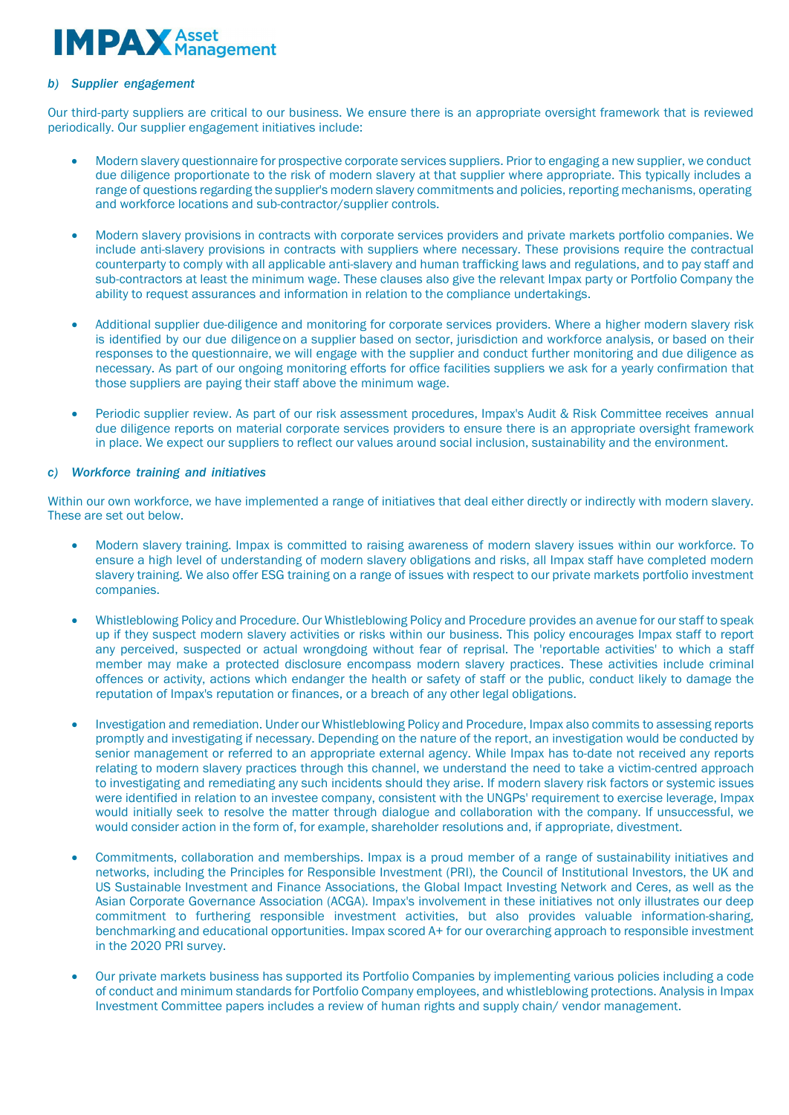# **MPAX** Asset

# *b) Supplier engagement*

Our third-party suppliers are critical to our business. We ensure there is an appropriate oversight framework that is reviewed periodically. Our supplier engagement initiatives include:

- Modern slavery questionnaire for prospective corporate services suppliers. Prior to engaging a new supplier, we conduct due diligence proportionate to the risk of modern slavery at that supplier where appropriate. This typically includes a range of questions regarding the supplier's modern slavery commitments and policies, reporting mechanisms, operating and workforce locations and sub-contractor/supplier controls.
- Modern slavery provisions in contracts with corporate services providers and private markets portfolio companies. We include anti-slavery provisions in contracts with suppliers where necessary. These provisions require the contractual counterparty to comply with all applicable anti-slavery and human trafficking laws and regulations, and to pay staff and sub-contractors at least the minimum wage. These clauses also give the relevant Impax party or Portfolio Company the ability to request assurances and information in relation to the compliance undertakings.
- Additional supplier due-diligence and monitoring for corporate services providers. Where a higher modern slavery risk is identified by our due diligence on a supplier based on sector, jurisdiction and workforce analysis, or based on their responses to the questionnaire, we will engage with the supplier and conduct further monitoring and due diligence as necessary. As part of our ongoing monitoring efforts for office facilities suppliers we ask for a yearly confirmation that those suppliers are paying their staff above the minimum wage.
- Periodic supplier review. As part of our risk assessment procedures, Impax's Audit & Risk Committee receives annual due diligence reports on material corporate services providers to ensure there is an appropriate oversight framework in place. We expect our suppliers to reflect our values around social inclusion, sustainability and the environment.

# *c) Workforce training and initiatives*

Within our own workforce, we have implemented a range of initiatives that deal either directly or indirectly with modern slavery. These are set out below.

- Modern slavery training. Impax is committed to raising awareness of modern slavery issues within our workforce. To ensure a high level of understanding of modern slavery obligations and risks, all Impax staff have completed modern slavery training. We also offer ESG training on a range of issues with respect to our private markets portfolio investment companies.
- Whistleblowing Policy and Procedure. Our Whistleblowing Policy and Procedure provides an avenue for our staff to speak up if they suspect modern slavery activities or risks within our business. This policy encourages Impax staff to report any perceived, suspected or actual wrongdoing without fear of reprisal. The 'reportable activities' to which a staff member may make a protected disclosure encompass modern slavery practices. These activities include criminal offences or activity, actions which endanger the health or safety of staff or the public, conduct likely to damage the reputation of Impax's reputation or finances, or a breach of any other legal obligations.
- Investigation and remediation. Under our Whistleblowing Policy and Procedure, Impax also commits to assessing reports promptly and investigating if necessary. Depending on the nature of the report, an investigation would be conducted by senior management or referred to an appropriate external agency. While Impax has to-date not received any reports relating to modern slavery practices through this channel, we understand the need to take a victim-centred approach to investigating and remediating any such incidents should they arise. If modern slavery risk factors or systemic issues were identified in relation to an investee company, consistent with the UNGPs' requirement to exercise leverage, Impax would initially seek to resolve the matter through dialogue and collaboration with the company. If unsuccessful, we would consider action in the form of, for example, shareholder resolutions and, if appropriate, divestment.
- Commitments, collaboration and memberships. Impax is a proud member of a range of sustainability initiatives and networks, including the Principles for Responsible Investment (PRI), the Council of Institutional Investors, the UK and US Sustainable Investment and Finance Associations, the Global Impact Investing Network and Ceres, as well as the Asian Corporate Governance Association (ACGA). Impax's involvement in these initiatives not only illustrates our deep commitment to furthering responsible investment activities, but also provides valuable information-sharing, benchmarking and educational opportunities. Impax scored A+ for our overarching approach to responsible investment in the 2020 PRI survey.
- Our private markets business has supported its Portfolio Companies by implementing various policies including a code of conduct and minimum standards for Portfolio Company employees, and whistleblowing protections. Analysis in Impax Investment Committee papers includes a review of human rights and supply chain/ vendor management.